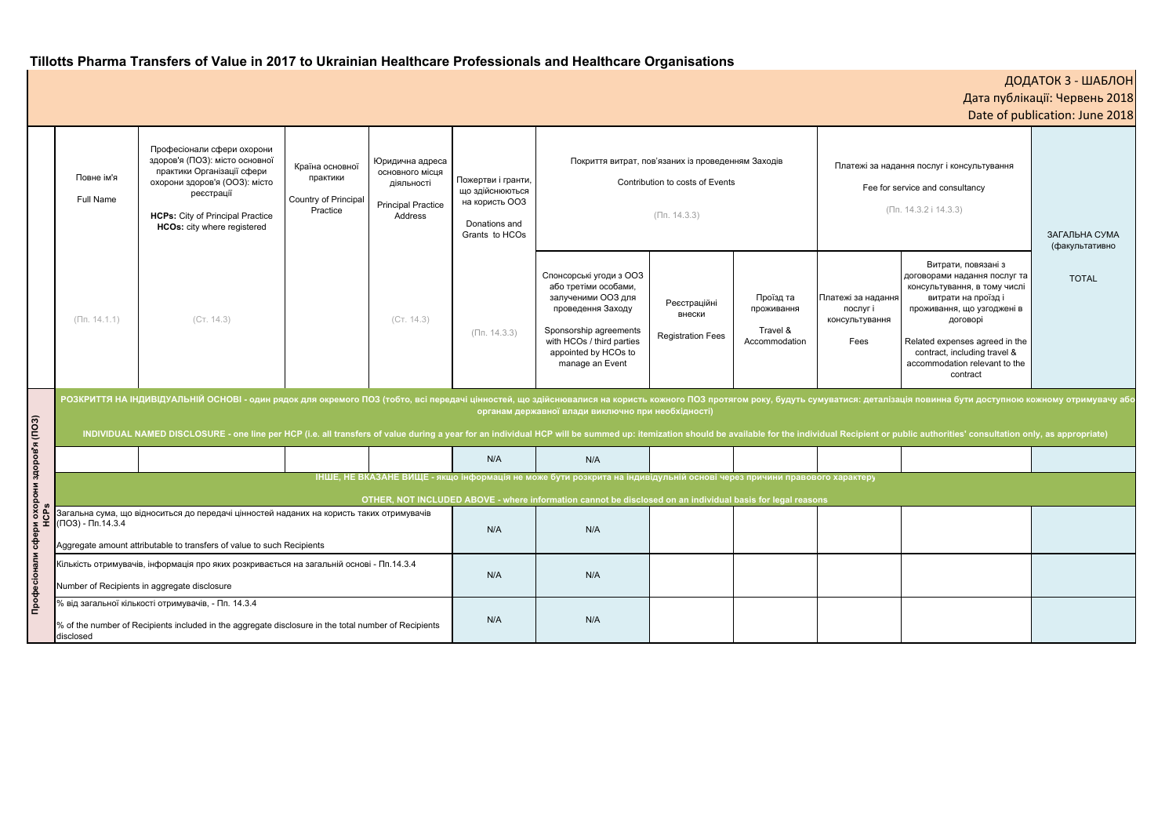# **Tillotts Pharma Transfers of Value in 2017 to Ukrainian Healthcare Professionals and Healthcare Organisations**

| ДОДАТОК 3 - ШАБЛОН<br>Дата публікації: Червень 2018<br>Date of publication: June 2018 |                                                                                                                                                      |                                 |  |  |  |  |  |
|---------------------------------------------------------------------------------------|------------------------------------------------------------------------------------------------------------------------------------------------------|---------------------------------|--|--|--|--|--|
|                                                                                       |                                                                                                                                                      |                                 |  |  |  |  |  |
|                                                                                       | а надання послуг і консультування                                                                                                                    |                                 |  |  |  |  |  |
|                                                                                       | e for service and consultancy                                                                                                                        |                                 |  |  |  |  |  |
|                                                                                       | (Пп. 14.3.2 і 14.3.3)                                                                                                                                |                                 |  |  |  |  |  |
|                                                                                       |                                                                                                                                                      | ЗАГАЛЬНА СУМА<br>(факультативно |  |  |  |  |  |
| дання<br>ання                                                                         | Витрати, повязані з<br>договорами надання послуг та<br>консультування, в тому числі<br>витрати на проїзд і<br>проживання, що узгоджені в<br>договорі | <b>TOTAL</b>                    |  |  |  |  |  |
|                                                                                       | Related expenses agreed in the<br>contract, including travel &<br>accommodation relevant to the<br>contract                                          |                                 |  |  |  |  |  |
|                                                                                       | талізація повинна бути доступною кожному отримувачу або<br>It or public authorities' consultation only, as appropriate)                              |                                 |  |  |  |  |  |
|                                                                                       |                                                                                                                                                      |                                 |  |  |  |  |  |
|                                                                                       |                                                                                                                                                      |                                 |  |  |  |  |  |
|                                                                                       |                                                                                                                                                      |                                 |  |  |  |  |  |
|                                                                                       |                                                                                                                                                      |                                 |  |  |  |  |  |
|                                                                                       |                                                                                                                                                      |                                 |  |  |  |  |  |

|                                                                                                                                                                                                                                                                                                                                                                                                                                                                                                                                                        | Повне ім'я<br>Full Name                                                                                                                  | Професіонали сфери охорони<br>здоров'я (ПОЗ): місто основної<br>практики Організації сфери<br>охорони здоров'я (ООЗ): місто<br>реєстрації<br><b>HCPs:</b> City of Principal Practice<br><b>HCOs:</b> city where registered | Країна основної<br>практики<br>Country of Principal<br>Practice | Юридична адреса<br>основного місця<br>діяльності<br><b>Principal Practice</b><br>Address | Пожертви і гранти,<br>що здійснюються<br>на користь ООЗ<br>Donations and<br>Grants to HCOs | Покриття витрат, пов'язаних із проведенням Заходів<br>Contribution to costs of Events<br>$(\Pi n. 14.3.3)$                                                                                   |                                                    | Платежі за надання послуг і консультування<br>Fee for service and consultancy<br>$(\Pi n. 14.3.2 i 14.3.3)$ |                                                          | ЗАГАЛЬНА СУМА<br>(факультативно                                                                                                                                                                                                                                    |              |  |
|--------------------------------------------------------------------------------------------------------------------------------------------------------------------------------------------------------------------------------------------------------------------------------------------------------------------------------------------------------------------------------------------------------------------------------------------------------------------------------------------------------------------------------------------------------|------------------------------------------------------------------------------------------------------------------------------------------|----------------------------------------------------------------------------------------------------------------------------------------------------------------------------------------------------------------------------|-----------------------------------------------------------------|------------------------------------------------------------------------------------------|--------------------------------------------------------------------------------------------|----------------------------------------------------------------------------------------------------------------------------------------------------------------------------------------------|----------------------------------------------------|-------------------------------------------------------------------------------------------------------------|----------------------------------------------------------|--------------------------------------------------------------------------------------------------------------------------------------------------------------------------------------------------------------------------------------------------------------------|--------------|--|
|                                                                                                                                                                                                                                                                                                                                                                                                                                                                                                                                                        | $(\Pi$ n. 14.1.1)                                                                                                                        | (CT. 14.3)                                                                                                                                                                                                                 |                                                                 | (CT. 14.3)                                                                               | $(\Pi n. 14.3.3)$                                                                          | Спонсорські угоди з ООЗ<br>або третіми особами,<br>залученими ООЗ для<br>проведення Заходу<br>Sponsorship agreements<br>with HCOs / third parties<br>appointed by HCOs to<br>manage an Event | Реєстраційні<br>внески<br><b>Registration Fees</b> | Проїзд та<br>проживання<br>Travel &<br>Accommodation                                                        | Платежі за надання<br>послуг і<br>консультування<br>Fees | Витрати, повязані з<br>договорами надання послуг та<br>консультування, в тому числі<br>витрати на проїзді<br>проживання, що узгоджені в<br>договорі<br>Related expenses agreed in the<br>contract, including travel &<br>accommodation relevant to the<br>contract | <b>TOTAL</b> |  |
| РОЗКРИТТЯ НА ІНДИВІДУАЛЬНІЙ ОСНОВІ - один рядок для окремого ПОЗ (тобто, всі передачі цінностей, що здійснювалися на користь кожного ПОЗ протягом року, будуть сумуватися: деталізація повинна бути доступною кожному отримува<br>органам державної влади виключно при необхідності)<br>срз<br>Сарани здоров'я (ПОЗ)<br>INDIVIDUAL NAMED DISCLOSURE - one line per HCP (i.e. all transfers of value during a year for an individual HCP will be summed up: itemization should be available for the individual Recipient or public authorities' consult |                                                                                                                                          |                                                                                                                                                                                                                            |                                                                 |                                                                                          |                                                                                            |                                                                                                                                                                                              |                                                    |                                                                                                             |                                                          |                                                                                                                                                                                                                                                                    |              |  |
|                                                                                                                                                                                                                                                                                                                                                                                                                                                                                                                                                        |                                                                                                                                          |                                                                                                                                                                                                                            |                                                                 |                                                                                          | N/A                                                                                        | N/A                                                                                                                                                                                          |                                                    |                                                                                                             |                                                          |                                                                                                                                                                                                                                                                    |              |  |
|                                                                                                                                                                                                                                                                                                                                                                                                                                                                                                                                                        |                                                                                                                                          | ІНШЕ, НЕ ВКАЗАНЕ ВИЩЕ - якщо інформація не може бути розкрита на індивідульній основі через причини правового характеру                                                                                                    |                                                                 |                                                                                          |                                                                                            |                                                                                                                                                                                              |                                                    |                                                                                                             |                                                          |                                                                                                                                                                                                                                                                    |              |  |
| OTHER, NOT INCLUDED ABOVE - where information cannot be disclosed on an individual basis for legal reasons                                                                                                                                                                                                                                                                                                                                                                                                                                             |                                                                                                                                          |                                                                                                                                                                                                                            |                                                                 |                                                                                          |                                                                                            |                                                                                                                                                                                              |                                                    |                                                                                                             |                                                          |                                                                                                                                                                                                                                                                    |              |  |
|                                                                                                                                                                                                                                                                                                                                                                                                                                                                                                                                                        | $(103) - 11.14.3.4$                                                                                                                      | Загальна сума, що відноситься до передачі цінностей наданих на користь таких отримувачів<br>Aggregate amount attributable to transfers of value to such Recipients                                                         |                                                                 |                                                                                          | N/A                                                                                        | N/A                                                                                                                                                                                          |                                                    |                                                                                                             |                                                          |                                                                                                                                                                                                                                                                    |              |  |
| Професіонали сфери<br>Н                                                                                                                                                                                                                                                                                                                                                                                                                                                                                                                                | Кількість отримувачів, інформація про яких розкривається на загальній основі - Пп.14.3.4<br>Number of Recipients in aggregate disclosure |                                                                                                                                                                                                                            |                                                                 |                                                                                          | N/A                                                                                        | N/A                                                                                                                                                                                          |                                                    |                                                                                                             |                                                          |                                                                                                                                                                                                                                                                    |              |  |
|                                                                                                                                                                                                                                                                                                                                                                                                                                                                                                                                                        | disclosed                                                                                                                                | % від загальної кількості отримувачів, - Пп. 14.3.4<br>% of the number of Recipients included in the aggregate disclosure in the total number of Recipients                                                                |                                                                 |                                                                                          | N/A                                                                                        | N/A                                                                                                                                                                                          |                                                    |                                                                                                             |                                                          |                                                                                                                                                                                                                                                                    |              |  |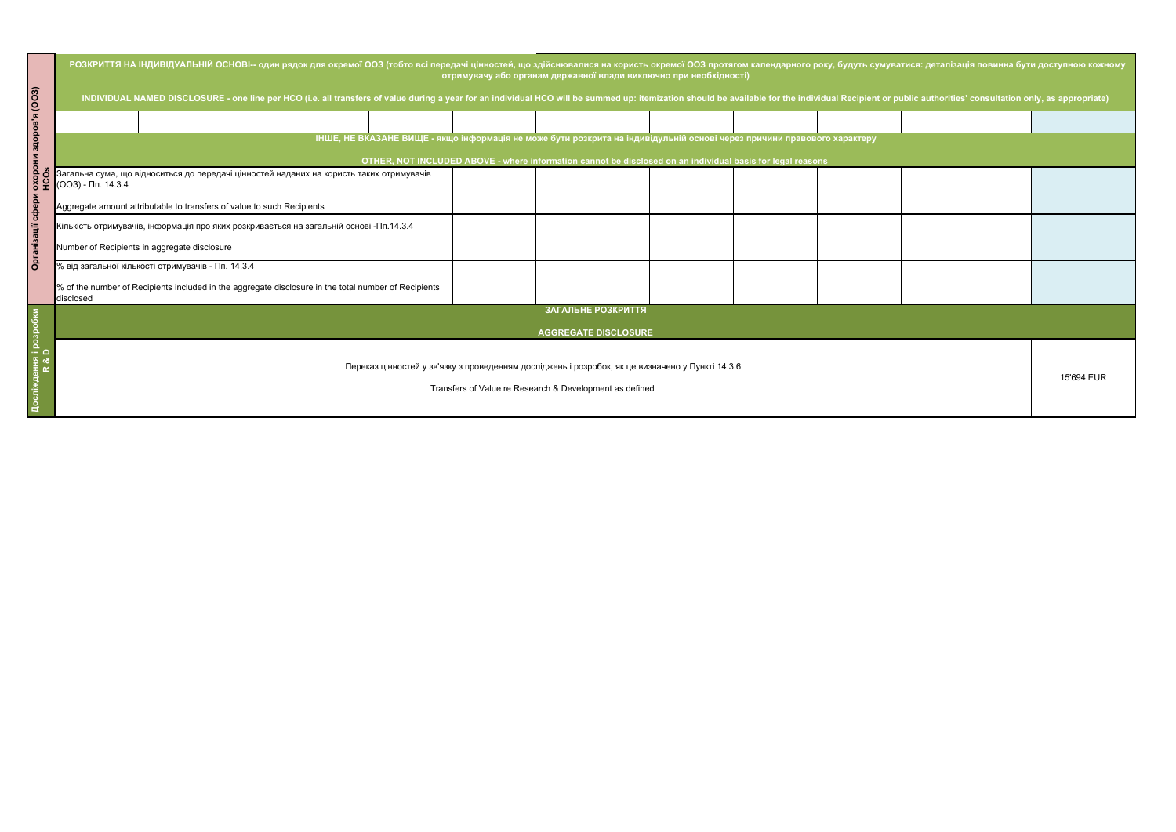| (003)                                             | РОЗКРИТТЯ НА ІНДИВІДУАЛЬНІЙ ОСНОВІ-- один рядок для окремої ООЗ (тобто всі передачі цінностей, що здійснювалися на користь окремої ООЗ протягом календарного року, будуть сумуватися: деталізація повинна бути доступною кожно<br>отримувачу або органам державної влади виключно при необхідності)<br>INDIVIDUAL NAMED DISCLOSURE - one line per HCO (i.e. all transfers of value during a year for an individual HCO will be summed up: itemization should be available for the individual Recipient or public authorities' consult |                                                                                                                                                            |  |  |  |  |  |  |  |  |  |
|---------------------------------------------------|---------------------------------------------------------------------------------------------------------------------------------------------------------------------------------------------------------------------------------------------------------------------------------------------------------------------------------------------------------------------------------------------------------------------------------------------------------------------------------------------------------------------------------------|------------------------------------------------------------------------------------------------------------------------------------------------------------|--|--|--|--|--|--|--|--|--|
|                                                   |                                                                                                                                                                                                                                                                                                                                                                                                                                                                                                                                       |                                                                                                                                                            |  |  |  |  |  |  |  |  |  |
| <b>Odors</b>                                      | ІНШЕ, НЕ ВКАЗАНЕ ВИЩЕ - якщо інформація не може бути розкрита на індивідульній основі через причини правового характеру<br>OTHER, NOT INCLUDED ABOVE - where information cannot be disclosed on an individual basis for legal reasons                                                                                                                                                                                                                                                                                                 |                                                                                                                                                            |  |  |  |  |  |  |  |  |  |
| <b>OXOPO</b><br>HCOS                              | Загальна сума, що відноситься до передачі цінностей наданих на користь таких отримувачів<br>$\big($ (OO3) - $\Pi$ n. 14.3.4                                                                                                                                                                                                                                                                                                                                                                                                           |                                                                                                                                                            |  |  |  |  |  |  |  |  |  |
| copep                                             | Aggregate amount attributable to transfers of value to such Recipients<br>Кількість отримувачів, інформація про яких розкривається на загальній основі -Пп.14.3.4                                                                                                                                                                                                                                                                                                                                                                     |                                                                                                                                                            |  |  |  |  |  |  |  |  |  |
| Number of Recipients in aggregate disclosure<br>ā |                                                                                                                                                                                                                                                                                                                                                                                                                                                                                                                                       |                                                                                                                                                            |  |  |  |  |  |  |  |  |  |
|                                                   | disclosed                                                                                                                                                                                                                                                                                                                                                                                                                                                                                                                             | % від загальної кількості отримувачів - Пп. 14.3.4<br>% of the number of Recipients included in the aggregate disclosure in the total number of Recipients |  |  |  |  |  |  |  |  |  |
|                                                   | ЗАГАЛЬНЕ РОЗКРИТТЯ<br><b>AGGREGATE DISCLOSURE</b>                                                                                                                                                                                                                                                                                                                                                                                                                                                                                     |                                                                                                                                                            |  |  |  |  |  |  |  |  |  |
|                                                   | Переказ цінностей у зв'язку з проведенням досліджень і розробок, як це визначено у Пункті 14.3.6<br>Transfers of Value re Research & Development as defined                                                                                                                                                                                                                                                                                                                                                                           |                                                                                                                                                            |  |  |  |  |  |  |  |  |  |

| уватися: деталізація повинна бути доступною кожному<br>r public authorities' consultation only, as appropriate) |  |            |  |  |  |  |  |  |  |
|-----------------------------------------------------------------------------------------------------------------|--|------------|--|--|--|--|--|--|--|
|                                                                                                                 |  |            |  |  |  |  |  |  |  |
|                                                                                                                 |  |            |  |  |  |  |  |  |  |
|                                                                                                                 |  |            |  |  |  |  |  |  |  |
|                                                                                                                 |  |            |  |  |  |  |  |  |  |
|                                                                                                                 |  |            |  |  |  |  |  |  |  |
|                                                                                                                 |  |            |  |  |  |  |  |  |  |
|                                                                                                                 |  | 15'694 EUR |  |  |  |  |  |  |  |